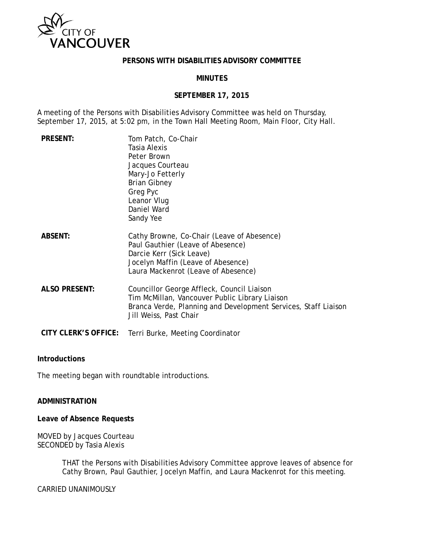

#### **PERSONS WITH DISABILITIES ADVISORY COMMITTEE**

### **MINUTES**

#### **SEPTEMBER 17, 2015**

A meeting of the Persons with Disabilities Advisory Committee was held on Thursday, September 17, 2015, at 5:02 pm, in the Town Hall Meeting Room, Main Floor, City Hall.

| <b>PRESENT:</b>             | Tom Patch, Co-Chair<br>Tasia Alexis<br>Peter Brown<br>Jacques Courteau<br>Mary-Jo Fetterly<br><b>Brian Gibney</b><br>Greg Pyc<br>Leanor Vlug<br>Daniel Ward<br>Sandy Yee                 |
|-----------------------------|------------------------------------------------------------------------------------------------------------------------------------------------------------------------------------------|
| <b>ABSENT:</b>              | Cathy Browne, Co-Chair (Leave of Abesence)<br>Paul Gauthier (Leave of Abesence)<br>Darcie Kerr (Sick Leave)<br>Jocelyn Maffin (Leave of Abesence)<br>Laura Mackenrot (Leave of Abesence) |
| <b>ALSO PRESENT:</b>        | Councillor George Affleck, Council Liaison<br>Tim McMillan, Vancouver Public Library Liaison<br>Branca Verde, Planning and Development Services, Staff Liaison<br>Jill Weiss, Past Chair |
| <b>CITY CLERK'S OFFICE:</b> | Terri Burke, Meeting Coordinator                                                                                                                                                         |

#### **Introductions**

The meeting began with roundtable introductions.

### **ADMINISTRATION**

**Leave of Absence Requests**

MOVED by Jacques Courteau SECONDED by Tasia Alexis

> THAT the Persons with Disabilities Advisory Committee approve leaves of absence for Cathy Brown, Paul Gauthier, Jocelyn Maffin, and Laura Mackenrot for this meeting.

CARRIED UNANIMOUSLY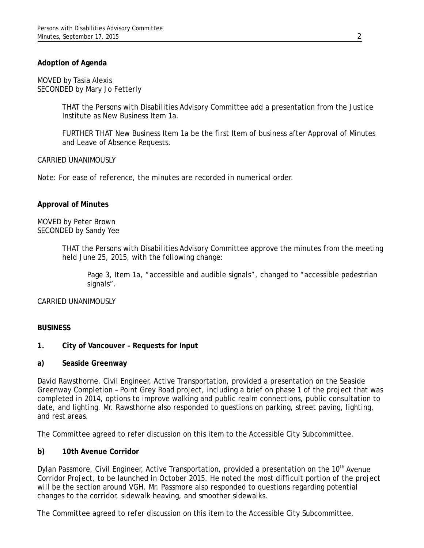## **Adoption of Agenda**

MOVED by Tasia Alexis SECONDED by Mary Jo Fetterly

> THAT the Persons with Disabilities Advisory Committee add a presentation from the Justice Institute as New Business Item 1a.

> FURTHER THAT New Business Item 1a be the first Item of business after Approval of Minutes and Leave of Absence Requests.

#### CARRIED UNANIMOUSLY

*Note: For ease of reference, the minutes are recorded in numerical order.*

#### **Approval of Minutes**

MOVED by Peter Brown SECONDED by Sandy Yee

> THAT the Persons with Disabilities Advisory Committee approve the minutes from the meeting held June 25, 2015, with the following change:

Page 3, Item 1a, "accessible and audible signals", changed to "accessible pedestrian signals".

CARRIED UNANIMOUSLY

### **BUSINESS**

#### **1. City of Vancouver – Requests for Input**

#### **a) Seaside Greenway**

David Rawsthorne, Civil Engineer, Active Transportation, provided a presentation on the Seaside Greenway Completion – Point Grey Road project, including a brief on phase 1 of the project that was completed in 2014, options to improve walking and public realm connections, public consultation to date, and lighting. Mr. Rawsthorne also responded to questions on parking, street paving, lighting, and rest areas.

The Committee agreed to refer discussion on this item to the Accessible City Subcommittee.

#### **b) 10th Avenue Corridor**

Dylan Passmore, Civil Engineer, Active Transportation, provided a presentation on the 10<sup>th</sup> Avenue Corridor Project, to be launched in October 2015. He noted the most difficult portion of the project will be the section around VGH. Mr. Passmore also responded to questions regarding potential changes to the corridor, sidewalk heaving, and smoother sidewalks.

The Committee agreed to refer discussion on this item to the Accessible City Subcommittee.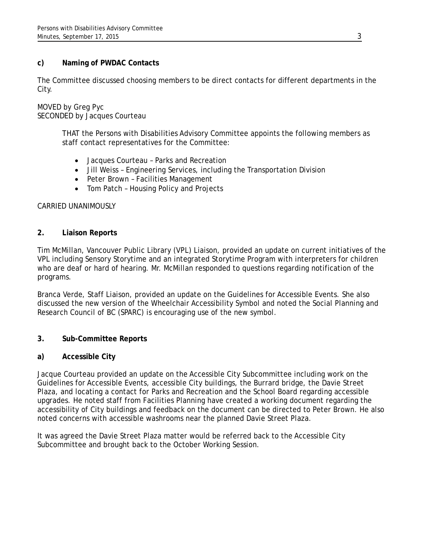## **c) Naming of PWDAC Contacts**

The Committee discussed choosing members to be direct contacts for different departments in the City.

## MOVED by Greg Pyc SECONDED by Jacques Courteau

THAT the Persons with Disabilities Advisory Committee appoints the following members as staff contact representatives for the Committee:

- Jacques Courteau Parks and Recreation
- Jill Weiss Engineering Services, including the Transportation Division
- Peter Brown Facilities Management
- Tom Patch Housing Policy and Projects

## CARRIED UNANIMOUSLY

## **2. Liaison Reports**

Tim McMillan, Vancouver Public Library (VPL) Liaison, provided an update on current initiatives of the VPL including Sensory Storytime and an integrated Storytime Program with interpreters for children who are deaf or hard of hearing. Mr. McMillan responded to questions regarding notification of the programs.

Branca Verde, Staff Liaison, provided an update on the Guidelines for Accessible Events. She also discussed the new version of the Wheelchair Accessibility Symbol and noted the Social Planning and Research Council of BC (SPARC) is encouraging use of the new symbol.

## **3. Sub-Committee Reports**

## **a) Accessible City**

Jacque Courteau provided an update on the Accessible City Subcommittee including work on the Guidelines for Accessible Events, accessible City buildings, the Burrard bridge, the Davie Street Plaza, and locating a contact for Parks and Recreation and the School Board regarding accessible upgrades. He noted staff from Facilities Planning have created a working document regarding the accessibility of City buildings and feedback on the document can be directed to Peter Brown. He also noted concerns with accessible washrooms near the planned Davie Street Plaza.

It was agreed the Davie Street Plaza matter would be referred back to the Accessible City Subcommittee and brought back to the October Working Session.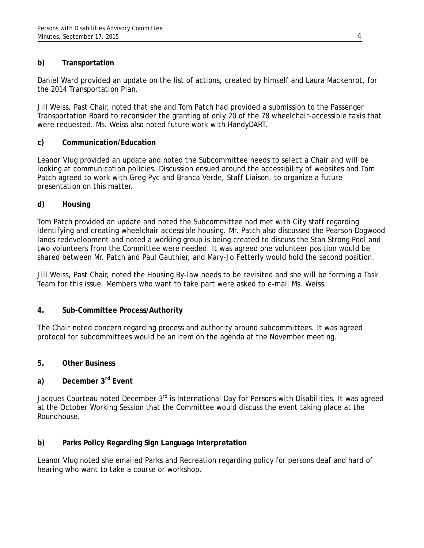# **b) Transportation**

Daniel Ward provided an update on the list of actions, created by himself and Laura Mackenrot, for the 2014 Transportation Plan.

Jill Weiss, Past Chair, noted that she and Tom Patch had provided a submission to the Passenger Transportation Board to reconsider the granting of only 20 of the 78 wheelchair-accessible taxis that were requested. Ms. Weiss also noted future work with HandyDART.

# **c) Communication/Education**

Leanor Vlug provided an update and noted the Subcommittee needs to select a Chair and will be looking at communication policies. Discussion ensued around the accessibility of websites and Tom Patch agreed to work with Greg Pyc and Branca Verde, Staff Liaison, to organize a future presentation on this matter.

# **d) Housing**

Tom Patch provided an update and noted the Subcommittee had met with City staff regarding identifying and creating wheelchair accessible housing. Mr. Patch also discussed the Pearson Dogwood lands redevelopment and noted a working group is being created to discuss the Stan Strong Pool and two volunteers from the Committee were needed. It was agreed one volunteer position would be shared between Mr. Patch and Paul Gauthier, and Mary-Jo Fetterly would hold the second position.

Jill Weiss, Past Chair, noted the Housing By-law needs to be revisited and she will be forming a Task Team for this issue. Members who want to take part were asked to e-mail Ms. Weiss.

# **4. Sub-Committee Process/Authority**

The Chair noted concern regarding process and authority around subcommittees. It was agreed protocol for subcommittees would be an item on the agenda at the November meeting.

# **5. Other Business**

# **a) December 3rd Event**

Jacques Courteau noted December 3<sup>rd</sup> is International Day for Persons with Disabilities. It was agreed at the October Working Session that the Committee would discuss the event taking place at the Roundhouse.

# **b) Parks Policy Regarding Sign Language Interpretation**

Leanor Vlug noted she emailed Parks and Recreation regarding policy for persons deaf and hard of hearing who want to take a course or workshop.